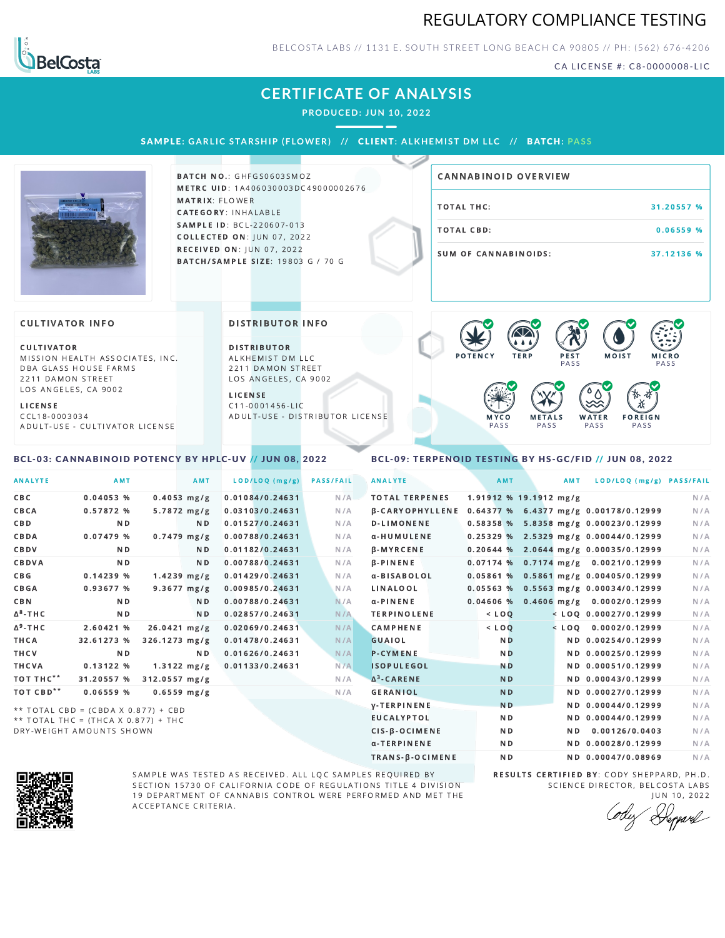## REGULATORY COMPLIANCE TESTING



BELCOSTA LABS // 1131 E. SOUTH STREET LONG BEACH C A 90805 // PH: (562) 676-4206

CA LICENSE #: C8-0000008-LIC

## **CERTIFICATE OF ANALYSIS**

**PRODUCED: JUN 10, 2022**

SAMPLE: GARLIC STARSHIP (FLOWER) // CLIENT: ALKHEMIST DM LLC // BATCH: PASS



BATCH NO.: GHFGS0603SMOZ METRC UID: 1A406030003DC49000002676 MATRIX: FLOWER CATEGORY: INHALABLE SAMPLE ID: BCL-220607-013 **COLLECTED ON: JUN 07, 2022** RECEIVED ON: JUN 07, 2022 BATCH/SAMPLE SIZE: 19803 G / 70 G

# TOTAL THC: 31.20557 % TOTAL CBD: 0.06559 % SUM OF CANNABINOIDS: 37.12136 % CANNABINOID OVERVIEW

#### **CULTIVATOR INFO**

CULTIVATOR MISSION HEALTH ASSOCIATES, INC. DBA GLASS HOUSE FARMS 2211 DAMON STREET LOS ANGELES, CA 9002

L I C E N S E

C C L 1 8 - 0 0 0 3 0 3 4 A D U L T - U S E - C U L T I V A T O R L I CENSE

<span id="page-0-0"></span>BCL-03: CANNABINOID POTENCY BY HPLC-UV // JUN 08, 2022

DISTRIBUTOR INFO

D I STRIBUTOR ALKHEMIST DM LLC 2211 DAMON STREET LOS ANGELES, CA 9002

L I C E N S E C 1 1 - 0 0 0 1 4 5 6 - L I C A D U L T - U S E - D I STRIBUTOR LICENSE



#### <span id="page-0-1"></span>BCL-09: TERPENOID TESTING BY HS-GC/FID // JUN 08, 2022

| <b>ANALYTE</b>        | AMT                                 | <b>AMT</b>       |                 | LOD/LOQ (mg/g) | <b>PASS/FAIL</b> | <b>ANALYTE</b>                                        | AMT            | AMT                      | LOD/LOQ (mg/g) PASS/FAIL                |     |
|-----------------------|-------------------------------------|------------------|-----------------|----------------|------------------|-------------------------------------------------------|----------------|--------------------------|-----------------------------------------|-----|
| <b>CBC</b>            | 0.04053%                            | $0.4053$ mg/g    | 0.01084/0.24631 |                | N/A              | <b>TOTAL TERPENES</b>                                 |                | $1.91912$ % 19.1912 mg/g |                                         | N/A |
| CBCA                  | 0.57872 %                           | $5.7872$ mg/g    | 0.03103/0.24631 |                | N/A              | β-CARYOPHYLLENE 0.64377 % 6.4377 mg/g 0.00178/0.12999 |                |                          |                                         | N/A |
| CBD                   | N <sub>D</sub>                      | ND.              | 0.01527/0.24631 |                | N/A              | <b>D-LIMONENE</b>                                     |                |                          | 0.58358 % 5.8358 mg/g 0.00023/0.12999   | N/A |
| CBDA                  | 0.07479 %                           | $0.7479$ mg/g    | 0.00788/0.24631 |                | N/A              | α-HUMULENE                                            |                |                          | $0.25329\%$ 2.5329 mg/g 0.00044/0.12999 | N/A |
| CBDV                  | N <sub>D</sub>                      | ND.              | 0.01182/0.24631 |                | N/A              | $\beta$ -MYRCENE                                      |                |                          | $0.20644$ % 2.0644 mg/g 0.00035/0.12999 | N/A |
| CBDVA                 | N <sub>D</sub>                      | N <sub>D</sub>   | 0.00788/0.24631 |                | N/A              | $\beta$ -PINENE                                       |                |                          | $0.07174$ % 0.7174 mg/g 0.0021/0.12999  | N/A |
| C B G                 | 0.14239%                            | $1.4239$ mg/g    | 0.01429/0.24631 |                | N/A              | a-BISABOLOL                                           |                |                          | 0.05861 % 0.5861 mg/g 0.00405/0.12999   | N/A |
| <b>CBGA</b>           | 0.93677 %                           | $9.3677 \, mg/g$ | 0.00985/0.24631 |                | N/A              | LINALOOL                                              |                |                          | $0.05563$ % 0.5563 mg/g 0.00034/0.12999 | N/A |
| <b>CBN</b>            | ND.                                 | ND.              | 0.00788/0.24631 |                | N/A              | $\alpha$ -PINENE                                      |                |                          | 0.04606 % 0.4606 mg/g 0.0002/0.12999    | N/A |
| $\Delta^8$ -THC       | N <sub>D</sub>                      | N <sub>D</sub>   | 0.02857/0.24631 |                | N/A              | <b>TERPINOLENE</b>                                    | $<$ LOQ        |                          | $<$ LOQ 0.00027/0.12999                 | N/A |
| $\Delta^9$ -THC       | 2.60421 %                           | 26.0421 mg/g     | 0.02069/0.24631 |                | N/A              | CAMPHENE                                              | $<$ LOQ        |                          | $<$ LOO $0.0002/0.12999$                | N/A |
| THCA                  | 32.61273 %                          | $326.1273$ mg/g  | 0.01478/0.24631 |                | N/A              | <b>GUAIOL</b>                                         | N <sub>D</sub> |                          | ND 0.00254/0.12999                      | N/A |
| THCV                  | N <sub>D</sub>                      | N <sub>D</sub>   | 0.01626/0.24631 |                | N/A              | <b>P-CYMENE</b>                                       | N <sub>D</sub> |                          | ND 0.00025/0.12999                      | N/A |
| THCVA                 | 0.13122%                            | $1.3122 \, mg/g$ | 0.01133/0.24631 |                | N/A              | <b>ISOPULEGOL</b>                                     | <b>ND</b>      |                          | ND 0.00051/0.12999                      | N/A |
| TOT THC**             | 31.20557 %                          | 312.0557 mg/g    |                 |                | N/A              | $\Delta^3$ -CARENE                                    | <b>ND</b>      |                          | ND 0.00043/0.12999                      | N/A |
| TOT CBD <sup>**</sup> | 0.06559%                            | $0.6559$ mg/g    |                 |                | N/A              | <b>GERANIOL</b>                                       | <b>ND</b>      |                          | ND 0.00027/0.12999                      | N/A |
|                       | ** TOTAL CBD = (CBDA X 0.877) + CBD |                  |                 |                |                  | <b>V-TERPINENE</b>                                    | N <sub>D</sub> |                          | ND 0.00044/0.12999                      | N/A |
|                       | ** TOTAL THC = (THCA X 0.877) + THC |                  |                 |                |                  | <b>EUCALYPTOL</b>                                     | N <sub>D</sub> |                          | ND 0.00044/0.12999                      | N/A |
|                       | DRY-WEIGHT AMOUNTS SHOWN            |                  |                 |                |                  | CIS-B-OCIMENE                                         | N <sub>D</sub> |                          | ND 0.00126/0.0403                       | N/A |



SAMPLE WAS TESTED AS RECEIVED. ALL LQC SAMPLES REQUIRED BY SECTION 15730 OF CALIFORNIA CODE OF REGULATIONS TITLE 4 DIVISION 19 DEPARTMENT OF CANNABIS CONTROL WERE PERFORMED AND MET THE A C C E P T A N C E C R I T E R I A.

RESULTS CERTIFIED BY: CODY SHEPPARD, PH.D. SCIENCE DIRECTOR, BELCOSTA LABS JUN 10, 2022

α-TERPINENE ND ND 0.00028/0.12999 N/A TRANS-β-OCIMENE ND ND 0.00047/0.08969 N/A

Deppard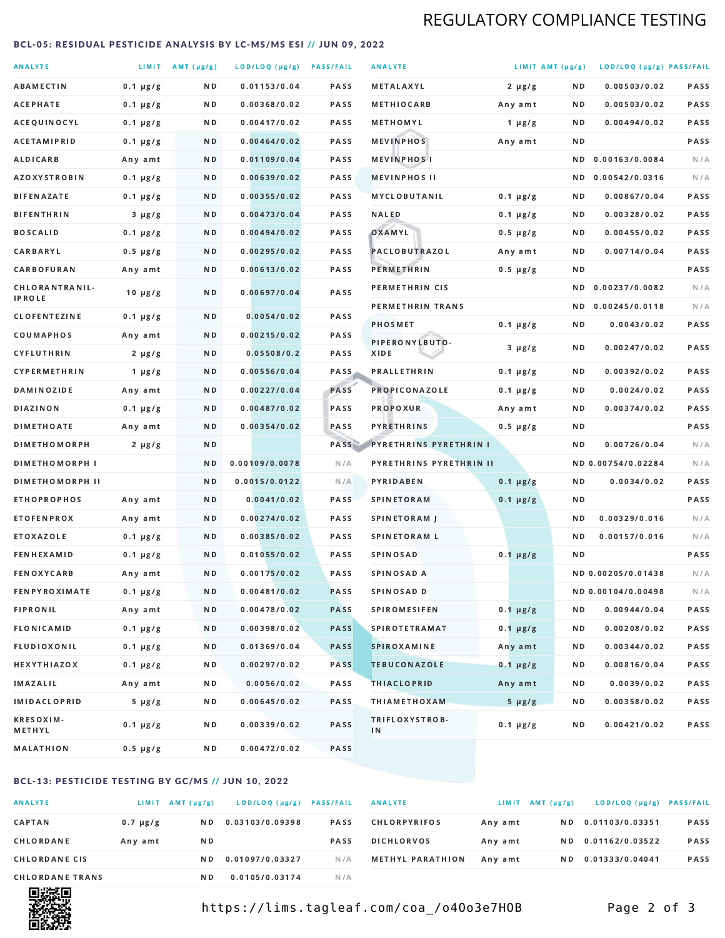## REGULATORY COMPLIANCE TESTING

#### <span id="page-1-0"></span>BCL-05: RESIDUAL PESTICIDE ANALYSIS BY LC-MS/MS ESI // JUN 09, 2022

| <b>ANALYTE</b>                  |               | LIMIT AMT (µg/g) | LOD/LOQ (µg/g) PASS/FAIL |             | <b>ANALYTE</b>                | LIMIT AMT (µg/g) |     | LOD/LOQ (µg/g) PASS/FAIL |             |
|---------------------------------|---------------|------------------|--------------------------|-------------|-------------------------------|------------------|-----|--------------------------|-------------|
| <b>ABAMECTIN</b>                | $0.1 \mu g/g$ | ND.              | 0.01153/0.04             | <b>PASS</b> | <b>METALAXYL</b>              | $2 \mu g/g$      | N D | 0.00503/0.02             | PASS        |
| ACEPHATE                        | $0.1 \mu g/g$ | N D              | 0.00368/0.02             | <b>PASS</b> | <b>METHIOCARB</b>             | Any amt          | N D | 0.00503/0.02             | <b>PASS</b> |
| ACEQUINOCYL                     | $0.1 \mu g/g$ | N D              | 0.00417/0.02             | PASS        | METHOMYL                      | 1 $\mu$ g/g      | N D | 0.00494/0.02             | PASS        |
| <b>ACETAMIPRID</b>              | $0.1 \mu g/g$ | ND.              | 0.00464/0.02             | <b>PASS</b> | <b>MEVINPHOS</b>              | Any amt          | N D |                          | PASS        |
| <b>ALDICARB</b>                 | Any amt       | N D              | 0.01109/0.04             | <b>PASS</b> | <b>MEVINPHOSI</b>             |                  | N D | 0.00163/0.0084           | N/A         |
| <b>AZOXYSTROBIN</b>             | $0.1 \mu g/g$ | N D              | 0.00639/0.02             | <b>PASS</b> | <b>MEVINPHOS II</b>           |                  | ND. | 0.00542/0.0316           | N/A         |
| <b>BIFENAZATE</b>               | $0.1 \mu g/g$ | N D              | 0.00355/0.02             | <b>PASS</b> | <b>MYCLOBUTANIL</b>           | $0.1 \mu g/g$    | N D | 0.00867/0.04             | PASS        |
| <b>BIFENTHRIN</b>               | $3 \mu g/g$   | N D              | 0.00473/0.04             | <b>PASS</b> | <b>NALED</b>                  | $0.1 \mu g/g$    | N D | 0.00328/0.02             | PASS        |
| <b>BOSCALID</b>                 | $0.1 \mu g/g$ | ND.              | 0.00494/0.02             | PASS        | OXAMYL                        | $0.5 \mu g/g$    | N D | 0.00455/0.02             | <b>PASS</b> |
| CARBARYL                        | $0.5 \mu g/g$ | N D              | 0.00295/0.02             | PASS        | PACLOBUTRAZOL                 | Any amt          | N D | 0.00714/0.04             | PASS        |
| CARBOFURAN                      | Any amt       | N D              | 0.00613/0.02             | <b>PASS</b> | PERMETHRIN                    | $0.5 \mu g/g$    | N D |                          | PASS        |
| CHLORANTRANIL-<br><b>IPROLE</b> | $10 \mu g/g$  | N D              | 0.00697/0.04             | PASS        | PERMETHRIN CIS                |                  | N D | 0.00237/0.0082           | N/A         |
| <b>CLOFENTEZINE</b>             | $0.1 \mu g/g$ | ND               | 0.0054/0.02              | <b>PASS</b> | PERMETHRIN TRANS              |                  |     | ND 0.00245/0.0118        | N/A         |
| COUMAPHOS                       | Any amt       | N D              | 0.00215/0.02             | <b>PASS</b> | <b>PHOSMET</b>                | $0.1 \mu g/g$    | N D | 0.0043/0.02              | PASS        |
| CYFLUTHRIN                      | $2 \mu g/g$   | ND.              | 0.05508/0.2              | <b>PASS</b> | PIPERONYLBUTO-<br>XIDE        | $3 \mu g/g$      | N D | 0.00247/0.02             | PASS        |
| <b>CYPERMETHRIN</b>             | 1 $\mu$ g/g   | N D              | 0.00556/0.04             | <b>PASS</b> | <b>PRALLETHRIN</b>            | $0.1 \mu g/g$    | N D | 0.00392/0.02             | PASS        |
| <b>DAMINOZIDE</b>               | Any amt       | ND.              | 0.00227/0.04             | <b>PASS</b> | PROPICONAZOLE                 | $0.1 \mu g/g$    | N D | 0.0024/0.02              | PASS        |
| <b>DIAZINON</b>                 | $0.1 \mu g/g$ | N D              | 0.00487/0.02             | <b>PASS</b> | <b>PROPOXUR</b>               | Any amt          | N D | 0.00374/0.02             | PASS        |
| <b>DIMETHOATE</b>               | Any amt       | N D              | 0.00354/0.02             | PASS        | <b>PYRETHRINS</b>             | $0.5 \mu g/g$    | N D |                          | PASS        |
| <b>DIMETHOMORPH</b>             | $2 \mu g/g$   | N D              |                          | PASS        | <b>PYRETHRINS PYRETHRIN I</b> |                  | N D | 0.00726/0.04             | N/A         |
| <b>DIMETHOMORPH I</b>           |               | N D              | 0.00109/0.0078           | N/A         | PYRETHRINS PYRETHRIN II       |                  |     | ND 0.00754/0.02284       | N/A         |
| <b>DIMETHOMORPH II</b>          |               | ND               | 0.0015/0.0122            | N/A         | PYRIDABEN                     | $0.1 \mu g/g$    | N D | 0.0034/0.02              | PASS        |
| <b>ETHOPROPHOS</b>              | Any amt       | ND.              | 0.0041/0.02              | PASS        | <b>SPINETORAM</b>             | $0.1 \mu g/g$    | N D |                          | PASS        |
| <b>ETOFENPROX</b>               | Any amt       | N D              | 0.00274/0.02             | <b>PASS</b> | SPINETORAM J                  |                  | N D | 0.00329/0.016            | N/A         |
| <b>ETOXAZOLE</b>                | $0.1 \mu g/g$ | ND.              | 0.00385/0.02             | <b>PASS</b> | <b>SPINETORAM L</b>           |                  | N D | 0.00157/0.016            | N/A         |
| <b>FENHEXAMID</b>               | $0.1 \mu g/g$ | N D              | 0.01055/0.02             | PASS        | <b>SPINOSAD</b>               | $0.1 \mu g/g$    | N D |                          | PASS        |
| <b>FENOXYCARB</b>               | Any amt       | N D              | 0.00175/0.02             | <b>PASS</b> | SPINOSAD A                    |                  |     | ND 0.00205/0.01438       | N/A         |
| <b>FENPYROXIMATE</b>            | $0.1 \mu g/g$ | N D              | 0.00481/0.02             | <b>PASS</b> | SPINOSAD D                    |                  |     | ND 0.00104/0.00498       | N/A         |
| <b>FIPRONIL</b>                 | Any amt       | N D              | 0.00478/0.02             | <b>PASS</b> | <b>SPIROMESIFEN</b>           | $0.1 \mu g/g$    | N D | 0.00944/0.04             | PASS        |
| <b>FLONICAMID</b>               | $0.1 \mu g/g$ | N D              | 0.00398/0.02             | <b>PASS</b> | <b>SPIROTETRAMAT</b>          | $0.1 \mu g/g$    | N D | 0.00208/0.02             | PASS        |
| FLUDIOXONIL                     | $0.1 \mu g/g$ | N D              | 0.01369/0.04             | <b>PASS</b> | SPIROXAMINE                   | Any amt          | N D | 0.00344/0.02             | PASS        |
| <b>HEXYTHIAZOX</b>              | $0.1 \mu g/g$ | N D              | 0.00297/0.02             | PASS        | <b>TEBUCONAZOLE</b>           | $0.1 \mu g/g$    | N D | 0.00816/0.04             | PASS        |
| IMAZALIL                        | Any amt       | N D              | 0.0056/0.02              | PASS        | <b>THIACLOPRID</b>            | Any amt          | N D | 0.0039/0.02              | PASS        |
| <b>IMIDACLOPRID</b>             | $5 \mu g/g$   | N D              | 0.00645/0.02             | PASS        | <b>THIAMETHOXAM</b>           | $5 \mu g/g$      | N D | 0.00358/0.02             | PASS        |
| <b>KRESOXIM-</b><br>METHYL      | $0.1 \mu g/g$ | N D              | 0.00339/0.02             | PASS        | TRIFLOXYSTROB-<br>IN          | $0.1 \mu g/g$    | N D | 0.00421/0.02             | PASS        |
| <b>MALATHION</b>                | 0.5 µg/g      | N D              | 0.00472/0.02             | PASS        |                               |                  |     |                          |             |

#### BCL-13: PESTICIDE TESTING BY GC/MS // JUN 10, 2022

| <b>ANALYTE</b>         | LIMIT         | $AMT(\mu g/g)$ | LOD/LOQ (µg/g)  | <b>PASS/FAIL</b> |
|------------------------|---------------|----------------|-----------------|------------------|
| <b>CAPTAN</b>          | $0.7 \mu g/g$ | N D            | 0.03103/0.09398 | <b>PASS</b>      |
| CHLORDANE              | Any amt       | N D            |                 | <b>PASS</b>      |
| <b>CHLORDANE CIS</b>   |               | N D            | 0.01097/0.03327 | N/A              |
| <b>CHLORDANE TRANS</b> |               | ND.            | 0.0105/0.03174  | N / A            |

| <b>ANALYTE</b>          | LIMIT   | $AMT(\mu g/g)$ | LOD/LOQ (µg/g)  | <b>PASS/FAIL</b> |
|-------------------------|---------|----------------|-----------------|------------------|
| <b>CHLORPYRIFOS</b>     | Any amt | N D.           | 0.01103/0.03351 | <b>PASS</b>      |
| <b>DICHLORVOS</b>       | Any amt | N D            | 0.01162/0.03522 | <b>PASS</b>      |
| <b>METHYL PARATHION</b> | Any amt | N D            | 0.01333/0.04041 | <b>PASS</b>      |